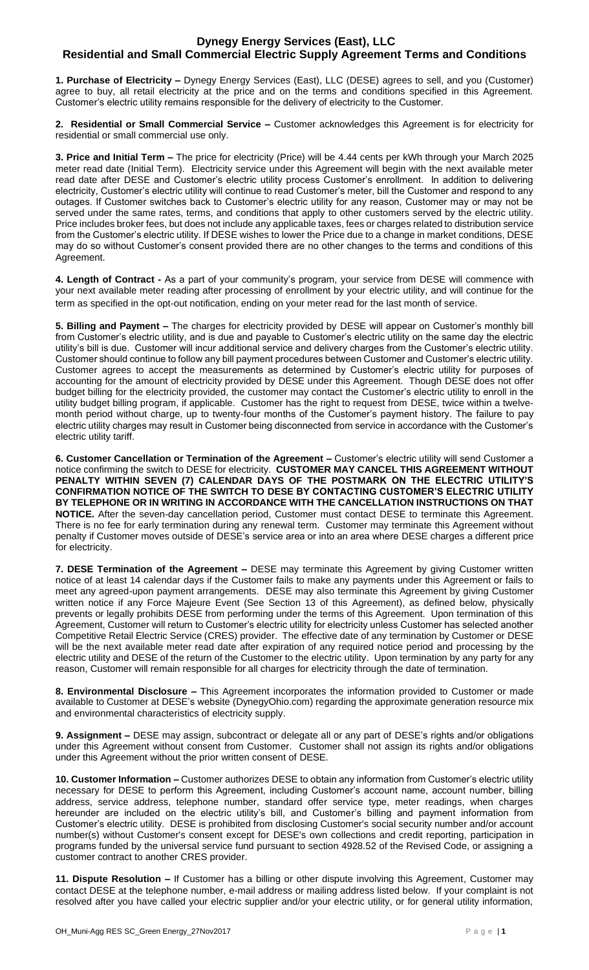## **Dynegy Energy Services (East), LLC Residential and Small Commercial Electric Supply Agreement Terms and Conditions**

**1. Purchase of Electricity –** Dynegy Energy Services (East), LLC (DESE) agrees to sell, and you (Customer) agree to buy, all retail electricity at the price and on the terms and conditions specified in this Agreement. Customer's electric utility remains responsible for the delivery of electricity to the Customer.

**2. Residential or Small Commercial Service –** Customer acknowledges this Agreement is for electricity for residential or small commercial use only.

**3. Price and Initial Term –** The price for electricity (Price) will be 4.44 cents per kWh through your March 2025 meter read date (Initial Term). Electricity service under this Agreement will begin with the next available meter read date after DESE and Customer's electric utility process Customer's enrollment. In addition to delivering electricity, Customer's electric utility will continue to read Customer's meter, bill the Customer and respond to any outages. If Customer switches back to Customer's electric utility for any reason, Customer may or may not be served under the same rates, terms, and conditions that apply to other customers served by the electric utility. Price includes broker fees, but does not include any applicable taxes, fees or charges related to distribution service from the Customer's electric utility. If DESE wishes to lower the Price due to a change in market conditions, DESE may do so without Customer's consent provided there are no other changes to the terms and conditions of this Agreement.

**4. Length of Contract -** As a part of your community's program, your service from DESE will commence with your next available meter reading after processing of enrollment by your electric utility, and will continue for the term as specified in the opt-out notification, ending on your meter read for the last month of service.

**5. Billing and Payment –** The charges for electricity provided by DESE will appear on Customer's monthly bill from Customer's electric utility, and is due and payable to Customer's electric utility on the same day the electric utility's bill is due. Customer will incur additional service and delivery charges from the Customer's electric utility. Customer should continue to follow any bill payment procedures between Customer and Customer's electric utility. Customer agrees to accept the measurements as determined by Customer's electric utility for purposes of accounting for the amount of electricity provided by DESE under this Agreement. Though DESE does not offer budget billing for the electricity provided, the customer may contact the Customer's electric utility to enroll in the utility budget billing program, if applicable. Customer has the right to request from DESE, twice within a twelvemonth period without charge, up to twenty-four months of the Customer's payment history. The failure to pay electric utility charges may result in Customer being disconnected from service in accordance with the Customer's electric utility tariff.

**6. Customer Cancellation or Termination of the Agreement –** Customer's electric utility will send Customer a notice confirming the switch to DESE for electricity. **CUSTOMER MAY CANCEL THIS AGREEMENT WITHOUT**  PENALTY WITHIN SEVEN (7) CALENDAR DAYS OF THE POSTMARK ON THE ELECTRIC UTILITY'S **CONFIRMATION NOTICE OF THE SWITCH TO DESE BY CONTACTING CUSTOMER'S ELECTRIC UTILITY BY TELEPHONE OR IN WRITING IN ACCORDANCE WITH THE CANCELLATION INSTRUCTIONS ON THAT NOTICE.** After the seven-day cancellation period, Customer must contact DESE to terminate this Agreement. There is no fee for early termination during any renewal term. Customer may terminate this Agreement without penalty if Customer moves outside of DESE's service area or into an area where DESE charges a different price for electricity.

**7. DESE Termination of the Agreement –** DESE may terminate this Agreement by giving Customer written notice of at least 14 calendar days if the Customer fails to make any payments under this Agreement or fails to meet any agreed-upon payment arrangements. DESE may also terminate this Agreement by giving Customer written notice if any Force Majeure Event (See Section 13 of this Agreement), as defined below, physically prevents or legally prohibits DESE from performing under the terms of this Agreement. Upon termination of this Agreement, Customer will return to Customer's electric utility for electricity unless Customer has selected another Competitive Retail Electric Service (CRES) provider. The effective date of any termination by Customer or DESE will be the next available meter read date after expiration of any required notice period and processing by the electric utility and DESE of the return of the Customer to the electric utility. Upon termination by any party for any reason, Customer will remain responsible for all charges for electricity through the date of termination.

**8. Environmental Disclosure –** This Agreement incorporates the information provided to Customer or made available to Customer at DESE's website (DynegyOhio.com) regarding the approximate generation resource mix and environmental characteristics of electricity supply.

**9. Assignment –** DESE may assign, subcontract or delegate all or any part of DESE's rights and/or obligations under this Agreement without consent from Customer. Customer shall not assign its rights and/or obligations under this Agreement without the prior written consent of DESE.

**10. Customer Information –** Customer authorizes DESE to obtain any information from Customer's electric utility necessary for DESE to perform this Agreement, including Customer's account name, account number, billing address, service address, telephone number, standard offer service type, meter readings, when charges hereunder are included on the electric utility's bill, and Customer's billing and payment information from Customer's electric utility. DESE is prohibited from disclosing Customer's social security number and/or account number(s) without Customer's consent except for DESE's own collections and credit reporting, participation in programs funded by the universal service fund pursuant to section 4928.52 of the Revised Code, or assigning a customer contract to another CRES provider.

**11. Dispute Resolution –** If Customer has a billing or other dispute involving this Agreement, Customer may contact DESE at the telephone number, e-mail address or mailing address listed below. If your complaint is not resolved after you have called your electric supplier and/or your electric utility, or for general utility information,